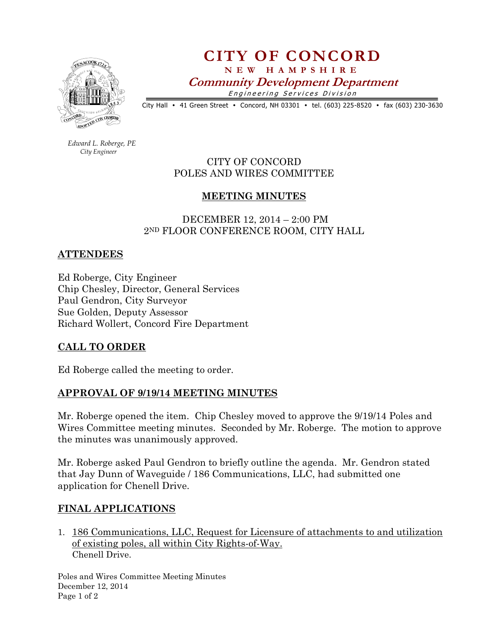

CITY OF CONCORD N E W H A M P S H I R E

Community Development Department

Engineering Services Division

City Hall • 41 Green Street • Concord, NH 03301 • tel. (603) 225-8520 • fax (603) 230-3630

 Edward L. Roberge, PE City Engineer

CITY OF CONCORD POLES AND WIRES COMMITTEE

# MEETING MINUTES

 DECEMBER 12, 2014 – 2:00 PM 2ND FLOOR CONFERENCE ROOM, CITY HALL

## ATTENDEES

Ed Roberge, City Engineer Chip Chesley, Director, General Services Paul Gendron, City Surveyor Sue Golden, Deputy Assessor Richard Wollert, Concord Fire Department

## CALL TO ORDER

Ed Roberge called the meeting to order.

## APPROVAL OF 9/19/14 MEETING MINUTES

Mr. Roberge opened the item. Chip Chesley moved to approve the 9/19/14 Poles and Wires Committee meeting minutes. Seconded by Mr. Roberge. The motion to approve the minutes was unanimously approved.

Mr. Roberge asked Paul Gendron to briefly outline the agenda. Mr. Gendron stated that Jay Dunn of Waveguide / 186 Communications, LLC, had submitted one application for Chenell Drive.

## FINAL APPLICATIONS

1. 186 Communications, LLC, Request for Licensure of attachments to and utilization of existing poles, all within City Rights-of-Way. Chenell Drive.

Poles and Wires Committee Meeting Minutes December 12, 2014 Page 1 of 2